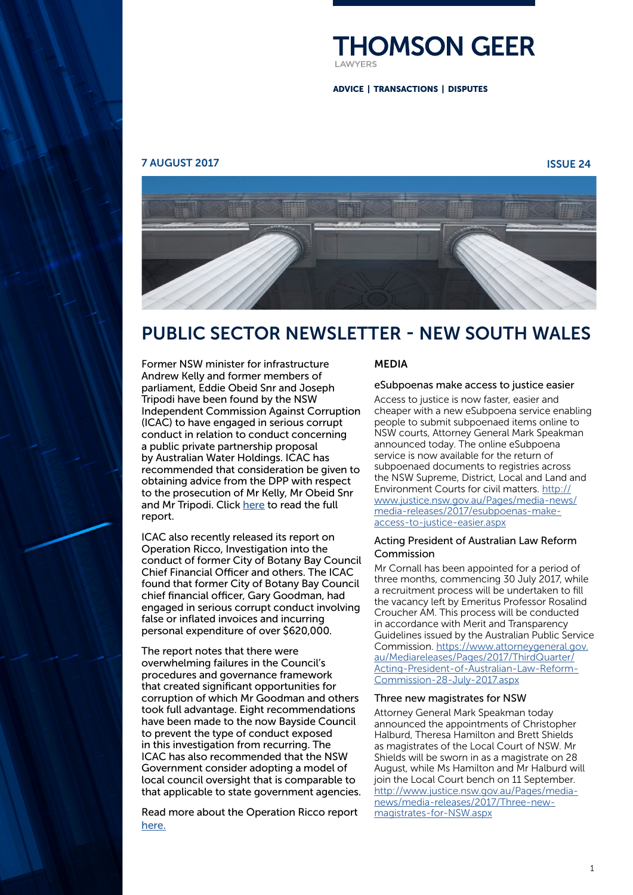

ADVICE | TRANSACTIONS | DISPUTES

#### 7 AUGUST 2017 ISSUE 24



# PUBLIC SECTOR NEWSLETTER - NEW SOUTH WALES



Former NSW minister for infrastructure Andrew Kelly and former members of parliament, Eddie Obeid Snr and Joseph Tripodi have been found by the NSW Independent Commission Against Corruption (ICAC) to have engaged in serious corrupt conduct in relation to conduct concerning a public private partnership proposal by Australian Water Holdings. ICAC has recommended that consideration be given to obtaining advice from the DPP with respect to the prosecution of Mr Kelly, Mr Obeid Snr and Mr Tripodi. Click [here](http://www.icac.nsw.gov.au/docman/investigations/reports/4999-investigation-into-dealings-between-australian-water-holdings-pty-ltd-and-sydney-water-corporation-and-related-matters-operation-credo/file) to read the full report.

ICAC also recently released its report on Operation Ricco, Investigation into the conduct of former City of Botany Bay Council Chief Financial Officer and others. The ICAC found that former City of Botany Bay Council chief financial officer, Gary Goodman, had engaged in serious corrupt conduct involving false or inflated invoices and incurring personal expenditure of over \$620,000.

The report notes that there were overwhelming failures in the Council's procedures and governance framework that created significant opportunities for corruption of which Mr Goodman and others took full advantage. Eight recommendations have been made to the now Bayside Council to prevent the type of conduct exposed in this investigation from recurring. The ICAC has also recommended that the NSW Government consider adopting a model of local council oversight that is comparable to that applicable to state government agencies.

Read more about the Operation Ricco report [here.](http://www.icac.nsw.gov.au/media-centre/media-releases/article/5137)

#### MEDIA

#### eSubpoenas make access to justice easier

Access to justice is now faster, easier and cheaper with a new eSubpoena service enabling people to submit subpoenaed items online to NSW courts, Attorney General Mark Speakman announced today. The online eSubpoena service is now available for the return of subpoenaed documents to registries across the NSW Supreme, District, Local and Land and Environment Courts for civil matters. [http://](http://www.justice.nsw.gov.au/Pages/media-news/media-releases/2017/esubpoenas-make-access-to-justice-easier.aspx) [www.justice.nsw.gov.au/Pages/media-news/](http://www.justice.nsw.gov.au/Pages/media-news/media-releases/2017/esubpoenas-make-access-to-justice-easier.aspx) [media-releases/2017/esubpoenas-make](http://www.justice.nsw.gov.au/Pages/media-news/media-releases/2017/esubpoenas-make-access-to-justice-easier.aspx)[access-to-justice-easier.aspx](http://www.justice.nsw.gov.au/Pages/media-news/media-releases/2017/esubpoenas-make-access-to-justice-easier.aspx)

#### Acting President of Australian Law Reform Commission

Mr Cornall has been appointed for a period of three months, commencing 30 July 2017, while a recruitment process will be undertaken to fill the vacancy left by Emeritus Professor Rosalind Croucher AM. This process will be conducted in accordance with Merit and Transparency Guidelines issued by the Australian Public Service Commission. [https://www.attorneygeneral.gov.](https://www.attorneygeneral.gov.au/Mediareleases/Pages/2017/ThirdQuarter/Acting-President-of-Australian-Law-Reform-Commission-28-July-2017.aspx) [au/Mediareleases/Pages/2017/ThirdQuarter/](https://www.attorneygeneral.gov.au/Mediareleases/Pages/2017/ThirdQuarter/Acting-President-of-Australian-Law-Reform-Commission-28-July-2017.aspx) [Acting-President-of-Australian-Law-Reform-](https://www.attorneygeneral.gov.au/Mediareleases/Pages/2017/ThirdQuarter/Acting-President-of-Australian-Law-Reform-Commission-28-July-2017.aspx)[Commission-28-July-2017.aspx](https://www.attorneygeneral.gov.au/Mediareleases/Pages/2017/ThirdQuarter/Acting-President-of-Australian-Law-Reform-Commission-28-July-2017.aspx)

#### Three new magistrates for NSW

Attorney General Mark Speakman today announced the appointments of Christopher Halburd, Theresa Hamilton and Brett Shields as magistrates of the Local Court of NSW. Mr Shields will be sworn in as a magistrate on 28 August, while Ms Hamilton and Mr Halburd will join the Local Court bench on 11 September. [http://www.justice.nsw.gov.au/Pages/media](http://www.justice.nsw.gov.au/Pages/media-news/media-releases/2017/Three-new-magistrates-for-NSW.aspx)[news/media-releases/2017/Three-new](http://www.justice.nsw.gov.au/Pages/media-news/media-releases/2017/Three-new-magistrates-for-NSW.aspx)[magistrates-for-NSW.aspx](http://www.justice.nsw.gov.au/Pages/media-news/media-releases/2017/Three-new-magistrates-for-NSW.aspx)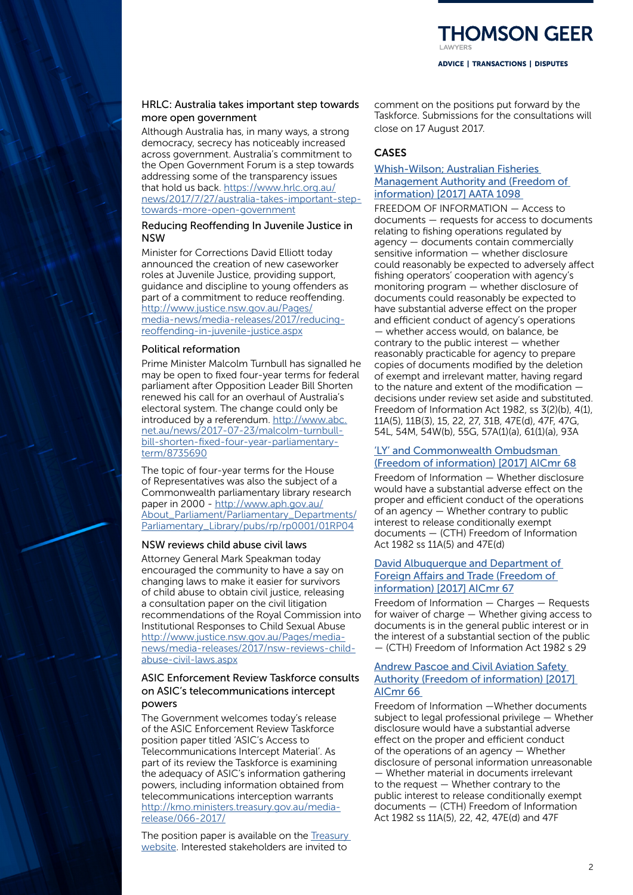# HRLC: Australia takes important step towards more open government

Although Australia has, in many ways, a strong democracy, secrecy has noticeably increased across government. Australia's commitment to the Open Government Forum is a step towards addressing some of the transparency issues that hold us back. [https://www.hrlc.org.au/](https://www.hrlc.org.au/news/2017/7/27/australia-takes-important-step-towards-more-open-government) [news/2017/7/27/australia-takes-important-step](https://www.hrlc.org.au/news/2017/7/27/australia-takes-important-step-towards-more-open-government)[towards-more-open-government](https://www.hrlc.org.au/news/2017/7/27/australia-takes-important-step-towards-more-open-government)

#### Reducing Reoffending In Juvenile Justice in NSW

Minister for Corrections David Elliott today announced the creation of new caseworker roles at Juvenile Justice, providing support, guidance and discipline to young offenders as part of a commitment to reduce reoffending. [http://www.justice.nsw.gov.au/Pages/](http://www.justice.nsw.gov.au/Pages/media-news/media-releases/2017/reducing-reoffending-in-juvenile-justice.aspx) [media-news/media-releases/2017/reducing](http://www.justice.nsw.gov.au/Pages/media-news/media-releases/2017/reducing-reoffending-in-juvenile-justice.aspx)[reoffending-in-juvenile-justice.aspx](http://www.justice.nsw.gov.au/Pages/media-news/media-releases/2017/reducing-reoffending-in-juvenile-justice.aspx)

## Political reformation

Prime Minister Malcolm Turnbull has signalled he may be open to fixed four-year terms for federal parliament after Opposition Leader Bill Shorten renewed his call for an overhaul of Australia's electoral system. The change could only be introduced by a referendum. [http://www.abc.](http://www.abc.net.au/news/2017-07-23/malcolm-turnbull-bill-shorten-fixed-four-year-parliamentary-term/8735690) [net.au/news/2017-07-23/malcolm-turnbull](http://www.abc.net.au/news/2017-07-23/malcolm-turnbull-bill-shorten-fixed-four-year-parliamentary-term/8735690)[bill-shorten-fixed-four-year-parliamentary](http://www.abc.net.au/news/2017-07-23/malcolm-turnbull-bill-shorten-fixed-four-year-parliamentary-term/8735690)[term/8735690](http://www.abc.net.au/news/2017-07-23/malcolm-turnbull-bill-shorten-fixed-four-year-parliamentary-term/8735690)

The topic of four-year terms for the House of Representatives was also the subject of a Commonwealth parliamentary library research paper in 2000 - [http://www.aph.gov.au/](http://www.aph.gov.au/About_Parliament/Parliamentary_Departments/Parliamentary_Library/pubs/rp/rp0001/01RP04) [About\\_Parliament/Parliamentary\\_Departments/](http://www.aph.gov.au/About_Parliament/Parliamentary_Departments/Parliamentary_Library/pubs/rp/rp0001/01RP04) [Parliamentary\\_Library/pubs/rp/rp0001/01RP04](http://www.aph.gov.au/About_Parliament/Parliamentary_Departments/Parliamentary_Library/pubs/rp/rp0001/01RP04)

# NSW reviews child abuse civil laws

Attorney General Mark Speakman today encouraged the community to have a say on changing laws to make it easier for survivors of child abuse to obtain civil justice, releasing a consultation paper on the civil litigation recommendations of the Royal Commission into Institutional Responses to Child Sexual Abuse [http://www.justice.nsw.gov.au/Pages/media](http://www.justice.nsw.gov.au/Pages/media-news/media-releases/2017/nsw-reviews-child-abuse-civil-laws.aspx)[news/media-releases/2017/nsw-reviews-child](http://www.justice.nsw.gov.au/Pages/media-news/media-releases/2017/nsw-reviews-child-abuse-civil-laws.aspx)[abuse-civil-laws.aspx](http://www.justice.nsw.gov.au/Pages/media-news/media-releases/2017/nsw-reviews-child-abuse-civil-laws.aspx)

# ASIC Enforcement Review Taskforce consults on ASIC's telecommunications intercept powers

The Government welcomes today's release of the ASIC Enforcement Review Taskforce position paper titled 'ASIC's Access to Telecommunications Intercept Material'. As part of its review the Taskforce is examining the adequacy of ASIC's information gathering powers, including information obtained from telecommunications interception warrants [http://kmo.ministers.treasury.gov.au/media](http://kmo.ministers.treasury.gov.au/media-release/066-2017/)[release/066-2017/](http://kmo.ministers.treasury.gov.au/media-release/066-2017/)

The position paper is available on the [Treasury](https://www.treasury.gov.au/ConsultationsandReviews/Reviews/2016/ASIC-Enforcement-Review)  [website.](https://www.treasury.gov.au/ConsultationsandReviews/Reviews/2016/ASIC-Enforcement-Review) Interested stakeholders are invited to

comment on the positions put forward by the Taskforce. Submissions for the consultations will close on 17 August 2017.

# CASES

# [Whish-Wilson; Australian Fisheries](http://www.austlii.edu.au/au/cases/cth/AATA/2017/1098.html)  [Management Authority and \(Freedom of](http://www.austlii.edu.au/au/cases/cth/AATA/2017/1098.html)  [information\) \[2017\] AATA 1098](http://www.austlii.edu.au/au/cases/cth/AATA/2017/1098.html)

FREEDOM OF INFORMATION — Access to documents — requests for access to documents relating to fishing operations regulated by agency — documents contain commercially sensitive information — whether disclosure could reasonably be expected to adversely affect fishing operators' cooperation with agency's monitoring program — whether disclosure of documents could reasonably be expected to have substantial adverse effect on the proper and efficient conduct of agency's operations — whether access would, on balance, be contrary to the public interest — whether reasonably practicable for agency to prepare copies of documents modified by the deletion of exempt and irrelevant matter, having regard to the nature and extent of the modification decisions under review set aside and substituted. Freedom of Information Act 1982, ss 3(2)(b), 4(1), 11A(5), 11B(3), 15, 22, 27, 31B, 47E(d), 47F, 47G, 54L, 54M, 54W(b), 55G, 57A(1)(a), 61(1)(a), 93A

## ['LY' and Commonwealth Ombudsman](http://www.austlii.edu.au/au/cases/cth/AICmr/2017/68.html)  [\(Freedom of information\) \[2017\] AICmr 68](http://www.austlii.edu.au/au/cases/cth/AICmr/2017/68.html)

Freedom of Information — Whether disclosure would have a substantial adverse effect on the proper and efficient conduct of the operations of an agency — Whether contrary to public interest to release conditionally exempt documents — (CTH) Freedom of Information Act 1982 ss 11A(5) and 47E(d)

# [David Albuquerque and Department of](http://www.austlii.edu.au/au/cases/cth/AICmr/2017/67.html)  [Foreign Affairs and Trade \(Freedom of](http://www.austlii.edu.au/au/cases/cth/AICmr/2017/67.html)  [information\) \[2017\] AICmr 67](http://www.austlii.edu.au/au/cases/cth/AICmr/2017/67.html)

Freedom of Information — Charges — Requests for waiver of charge — Whether giving access to documents is in the general public interest or in the interest of a substantial section of the public — (CTH) Freedom of Information Act 1982 s 29

#### [Andrew Pascoe and Civil Aviation Safety](http://www.austlii.edu.au/au/cases/cth/AICmr/2017/66.html)  [Authority \(Freedom of information\) \[2017\]](http://www.austlii.edu.au/au/cases/cth/AICmr/2017/66.html)  [AICmr 66](http://www.austlii.edu.au/au/cases/cth/AICmr/2017/66.html)

Freedom of Information —Whether documents subject to legal professional privilege — Whether disclosure would have a substantial adverse effect on the proper and efficient conduct of the operations of an agency — Whether disclosure of personal information unreasonable — Whether material in documents irrelevant to the request — Whether contrary to the public interest to release conditionally exempt documents — (CTH) Freedom of Information Act 1982 ss 11A(5), 22, 42, 47E(d) and 47F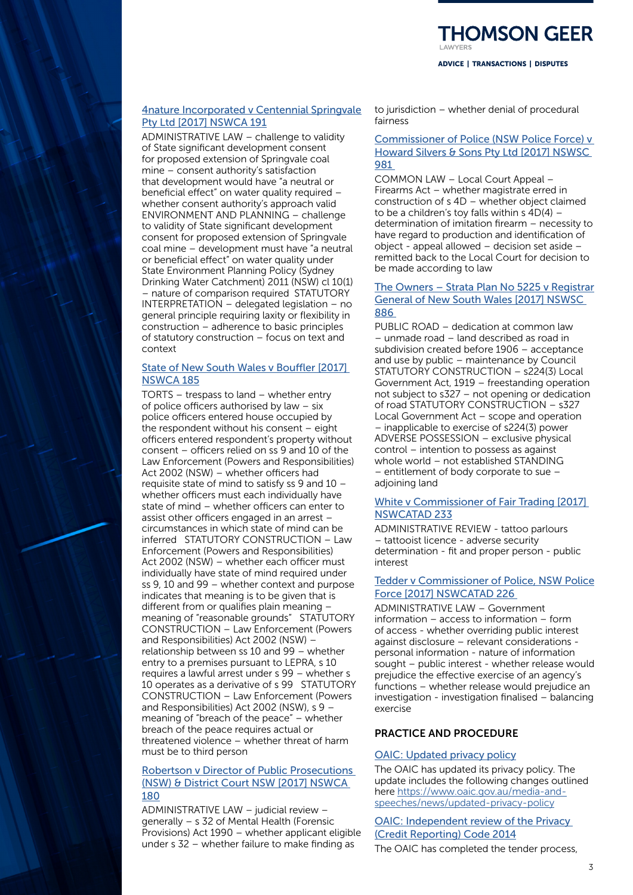

# [4nature Incorporated v Centennial Springvale](https://www.caselaw.nsw.gov.au/decision/597ec259e4b074a7c6e1780e)  [Pty Ltd \[2017\] NSWCA 191](https://www.caselaw.nsw.gov.au/decision/597ec259e4b074a7c6e1780e)

ADMINISTRATIVE LAW – challenge to validity of State significant development consent for proposed extension of Springvale coal mine – consent authority's satisfaction that development would have "a neutral or beneficial effect" on water quality required – whether consent authority's approach valid ENVIRONMENT AND PLANNING – challenge to validity of State significant development consent for proposed extension of Springvale coal mine – development must have "a neutral or beneficial effect" on water quality under State Environment Planning Policy (Sydney Drinking Water Catchment) 2011 (NSW) cl 10(1) – nature of comparison required STATUTORY INTERPRETATION – delegated legislation – no general principle requiring laxity or flexibility in construction – adherence to basic principles of statutory construction – focus on text and context

# [State of New South Wales v Bouffler \[2017\]](https://www.caselaw.nsw.gov.au/decision/5976e72ae4b058596cba8c6e)  [NSWCA 185](https://www.caselaw.nsw.gov.au/decision/5976e72ae4b058596cba8c6e)

TORTS – trespass to land – whether entry of police officers authorised by law – six police officers entered house occupied by the respondent without his consent – eight officers entered respondent's property without consent – officers relied on ss 9 and 10 of the Law Enforcement (Powers and Responsibilities) Act 2002 (NSW) – whether officers had requisite state of mind to satisfy ss 9 and 10 – whether officers must each individually have state of mind – whether officers can enter to assist other officers engaged in an arrest – circumstances in which state of mind can be inferred STATUTORY CONSTRUCTION – Law Enforcement (Powers and Responsibilities) Act 2002 (NSW) – whether each officer must individually have state of mind required under ss 9, 10 and 99 – whether context and purpose indicates that meaning is to be given that is different from or qualifies plain meaning – meaning of "reasonable grounds" STATUTORY CONSTRUCTION – Law Enforcement (Powers and Responsibilities) Act 2002 (NSW) – relationship between ss 10 and 99 – whether entry to a premises pursuant to LEPRA, s 10 requires a lawful arrest under s 99 – whether s 10 operates as a derivative of s 99 STATUTORY CONSTRUCTION – Law Enforcement (Powers and Responsibilities) Act 2002 (NSW), s 9 – meaning of "breach of the peace" – whether breach of the peace requires actual or threatened violence – whether threat of harm must be to third person

#### [Robertson v Director of Public Prosecutions](https://www.caselaw.nsw.gov.au/decision/5971383ae4b058596cba8aca)  [\(NSW\) & District Court NSW \[2017\] NSWCA](https://www.caselaw.nsw.gov.au/decision/5971383ae4b058596cba8aca)  [180](https://www.caselaw.nsw.gov.au/decision/5971383ae4b058596cba8aca)

ADMINISTRATIVE LAW – judicial review – generally – s 32 of Mental Health (Forensic Provisions) Act 1990 – whether applicant eligible under s 32 – whether failure to make finding as

to jurisdiction – whether denial of procedural fairness

#### [Commissioner of Police \(NSW Police Force\) v](https://www.caselaw.nsw.gov.au/decision/59782b24e4b058596cba8d0a)  [Howard Silvers & Sons Pty Ltd \[2017\] NSWSC](https://www.caselaw.nsw.gov.au/decision/59782b24e4b058596cba8d0a)  [981](https://www.caselaw.nsw.gov.au/decision/59782b24e4b058596cba8d0a)

COMMON LAW – Local Court Appeal – Firearms Act – whether magistrate erred in construction of s 4D – whether object claimed to be a children's toy falls within  $s$  4D(4) – determination of imitation firearm – necessity to have regard to production and identification of object - appeal allowed – decision set aside – remitted back to the Local Court for decision to be made according to law

#### [The Owners – Strata Plan No 5225 v Registrar](https://www.caselaw.nsw.gov.au/decision/5959d080e4b074a7c6e16d13)  [General of New South Wales \[2017\] NSWSC](https://www.caselaw.nsw.gov.au/decision/5959d080e4b074a7c6e16d13)  [886](https://www.caselaw.nsw.gov.au/decision/5959d080e4b074a7c6e16d13)

PUBLIC ROAD – dedication at common law – unmade road – land described as road in subdivision created before 1906 – acceptance and use by public – maintenance by Council STATUTORY CONSTRUCTION – s224(3) Local Government Act, 1919 – freestanding operation not subject to s327 – not opening or dedication of road STATUTORY CONSTRUCTION – s327 Local Government Act – scope and operation – inapplicable to exercise of s224(3) power ADVERSE POSSESSION – exclusive physical control – intention to possess as against whole world – not established STANDING – entitlement of body corporate to sue – adjoining land

#### [White v Commissioner of Fair Trading \[2017\]](https://www.caselaw.nsw.gov.au/decision/5976dc77e4b058596cba8c66)  [NSWCATAD 233](https://www.caselaw.nsw.gov.au/decision/5976dc77e4b058596cba8c66)

ADMINISTRATIVE REVIEW - tattoo parlours – tattooist licence - adverse security determination - fit and proper person - public interest

## [Tedder v Commissioner of Police, NSW Police](https://www.caselaw.nsw.gov.au/decision/596d5316e4b074a7c6e17347) [Force \[2017\] NSWCATAD 226](https://www.caselaw.nsw.gov.au/decision/596d5316e4b074a7c6e17347)

ADMINISTRATIVE LAW – Government information – access to information – form of access - whether overriding public interest against disclosure – relevant considerations personal information - nature of information sought – public interest - whether release would prejudice the effective exercise of an agency's functions – whether release would prejudice an investigation - investigation finalised – balancing exercise

# PRACTICE AND PROCEDURE

#### [OAIC: Updated privacy policy](https://www.oaic.gov.au/about-us/corporate-information/key-documents/privacy-policy)

The OAIC has updated its privacy policy. The update includes the following changes outlined here [https://www.oaic.gov.au/media-and](https://www.oaic.gov.au/media-and-speeches/news/updated-privacy-policy)[speeches/news/updated-privacy-policy](https://www.oaic.gov.au/media-and-speeches/news/updated-privacy-policy)

[OAIC: Independent review of the Privacy](https://www.oaic.gov.au/media-and-speeches/statements/independent-review-of-the-privacy-credit-reporting-code-2014)  [\(Credit Reporting\) Code 2014](https://www.oaic.gov.au/media-and-speeches/statements/independent-review-of-the-privacy-credit-reporting-code-2014)

The OAIC has completed the tender process,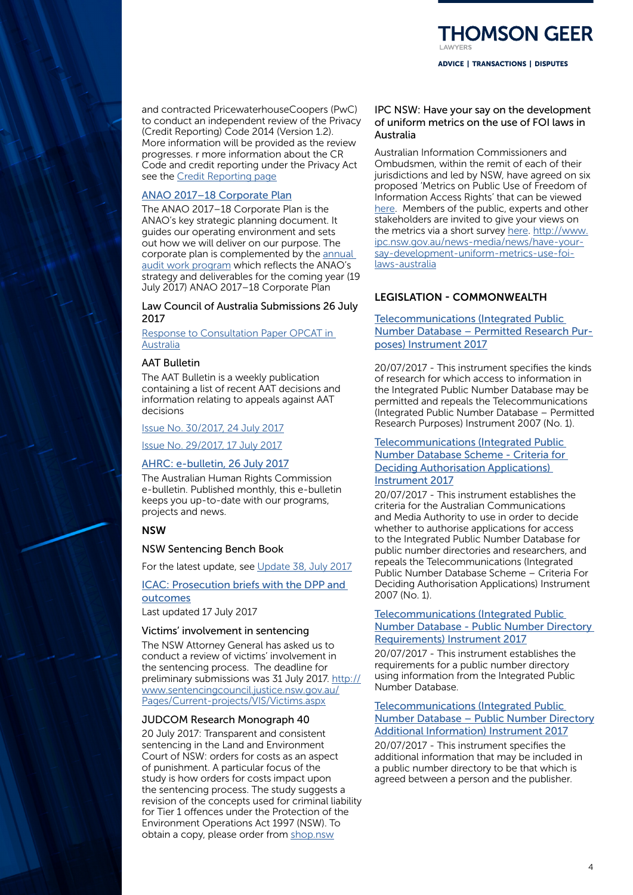and contracted PricewaterhouseCoopers (PwC) to conduct an independent review of the Privacy (Credit Reporting) Code 2014 (Version 1.2). More information will be provided as the review progresses. r more information about the CR Code and credit reporting under the Privacy Act see the [Credit Reporting page](https://www.oaic.gov.au/privacy-law/privacy-act/credit-reporting)

#### [ANAO 2017–18 Corporate Plan](https://www.anao.gov.au/work/corporate/anao-2017-18-corporate-plan)

The ANAO 2017–18 Corporate Plan is the ANAO's key strategic planning document. It guides our operating environment and sets out how we will deliver on our purpose. The corporate plan is complemented by the [annual](https://www.anao.gov.au/work-program)  [audit work program](https://www.anao.gov.au/work-program) which reflects the ANAO's strategy and deliverables for the coming year (19 July 2017) ANAO 2017–18 Corporate Plan

#### Law Council of Australia Submissions 26 July 2017

[Response to Consultation Paper OPCAT in](https://www.lawcouncil.asn.au/resources/submissions/response-to-consultation-paper-opcat-in-australia)  [Australia](https://www.lawcouncil.asn.au/resources/submissions/response-to-consultation-paper-opcat-in-australia)

#### AAT Bulletin

The AAT Bulletin is a weekly publication containing a list of recent AAT decisions and information relating to appeals against AAT decisions

[Issue No. 30/2017, 24 July 2017](http://www.aat.gov.au/AAT/media/AAT/Files/AAT%20Bulletins/30-17.pdf)

[Issue No. 29/2017, 17 July 2017](http://www.aat.gov.au/AAT/media/AAT/Files/AAT%20Bulletins/29-17.pdf)

# [AHRC: e-bulletin, 26 July 2017](http://www.humanrights.gov.au/news/e-bulletin/e-bulletin-26-july-2017)

The Australian Human Rights Commission e-bulletin. Published monthly, this e-bulletin keeps you up-to-date with our programs, projects and news.

#### **NSW**

#### NSW Sentencing Bench Book

For the latest update, see [Update 38, July 2017](https://www.judcom.nsw.gov.au/publications/benchbks/sentencing/currency.html#SBB_38)

## [ICAC: Prosecution briefs with the DPP and](http://www.icac.nsw.gov.au/investigations/prosecution-briefs-with-the-dpp-and-outcomes)  [outcomes](http://www.icac.nsw.gov.au/investigations/prosecution-briefs-with-the-dpp-and-outcomes)

Last updated 17 July 2017

#### Victims' involvement in sentencing

The NSW Attorney General has asked us to conduct a review of victims' involvement in the sentencing process. The deadline for preliminary submissions was 31 July 2017. [http://](http://www.sentencingcouncil.justice.nsw.gov.au/Pages/Current-projects/VIS/Victims.aspx) [www.sentencingcouncil.justice.nsw.gov.au/](http://www.sentencingcouncil.justice.nsw.gov.au/Pages/Current-projects/VIS/Victims.aspx) [Pages/Current-projects/VIS/Victims.aspx](http://www.sentencingcouncil.justice.nsw.gov.au/Pages/Current-projects/VIS/Victims.aspx)

#### JUDCOM Research Monograph 40

20 July 2017: Transparent and consistent sentencing in the Land and Environment Court of NSW: orders for costs as an aspect of punishment. A particular focus of the study is how orders for costs impact upon the sentencing process. The study suggests a revision of the concepts used for criminal liability for Tier 1 offences under the Protection of the Environment Operations Act 1997 (NSW). To obtain a copy, please order from [shop.nsw](http://www.shop.nsw.gov.au/agencydetails.jsp?agency=45)

IPC NSW: Have your say on the development of uniform metrics on the use of FOI laws in Australia

ADVICE | TRANSACTIONS | DISPUTES

**HOMSON GEER** 

Australian Information Commissioners and Ombudsmen, within the remit of each of their jurisdictions and led by NSW, have agreed on six proposed 'Metrics on Public Use of Freedom of Information Access Rights' that can be viewed [here](http://ipc.nsw.gov.au/sites/default/files/file_manager/Metrics_on_Public_Use_of_Freedom_of_Information_Access_Rights.pdf). Members of the public, experts and other stakeholders are invited to give your views on the metrics via a short survey [here.](http://ipc.e-newsletter.com.au/survey.php?sid=19425&name=have-your-say-on-the-development-of-uniform-metrics-on-the-use-o) [http://www.](http://www.ipc.nsw.gov.au/news-media/news/have-your-say-development-uniform-metrics-use-foi-laws-australia ) [ipc.nsw.gov.au/news-media/news/have-your](http://www.ipc.nsw.gov.au/news-media/news/have-your-say-development-uniform-metrics-use-foi-laws-australia )[say-development-uniform-metrics-use-foi](http://www.ipc.nsw.gov.au/news-media/news/have-your-say-development-uniform-metrics-use-foi-laws-australia )[laws-australia](http://www.ipc.nsw.gov.au/news-media/news/have-your-say-development-uniform-metrics-use-foi-laws-australia )

# LEGISLATION - COMMONWEALTH

[Telecommunications \(Integrated Public](https://www.legislation.gov.au/Details/F2017L00938)  [Number Database – Permitted Research Pur](https://www.legislation.gov.au/Details/F2017L00938)[poses\) Instrument 2017](https://www.legislation.gov.au/Details/F2017L00938)

20/07/2017 - This instrument specifies the kinds of research for which access to information in the Integrated Public Number Database may be permitted and repeals the Telecommunications (Integrated Public Number Database – Permitted Research Purposes) Instrument 2007 (No. 1).

# [Telecommunications \(Integrated Public](https://www.legislation.gov.au/Details/F2017L00937)  [Number Database Scheme - Criteria for](https://www.legislation.gov.au/Details/F2017L00937)  [Deciding Authorisation Applications\)](https://www.legislation.gov.au/Details/F2017L00937)

[Instrument 2017](https://www.legislation.gov.au/Details/F2017L00937)

20/07/2017 - This instrument establishes the criteria for the Australian Communications and Media Authority to use in order to decide whether to authorise applications for access to the Integrated Public Number Database for public number directories and researchers, and repeals the Telecommunications (Integrated Public Number Database Scheme – Criteria For Deciding Authorisation Applications) Instrument 2007 (No. 1).

#### [Telecommunications \(Integrated Public](https://www.legislation.gov.au/Details/F2017L00934)  [Number Database - Public Number Directory](https://www.legislation.gov.au/Details/F2017L00934)  [Requirements\) Instrument 2017](https://www.legislation.gov.au/Details/F2017L00934)

20/07/2017 - This instrument establishes the requirements for a public number directory using information from the Integrated Public Number Database.

# [Telecommunications \(Integrated Public](https://www.legislation.gov.au/Details/F2017L00933)  [Number Database – Public Number Directory](https://www.legislation.gov.au/Details/F2017L00933) [Additional Information\) Instrument 2017](https://www.legislation.gov.au/Details/F2017L00933)

20/07/2017 - This instrument specifies the additional information that may be included in a public number directory to be that which is agreed between a person and the publisher.